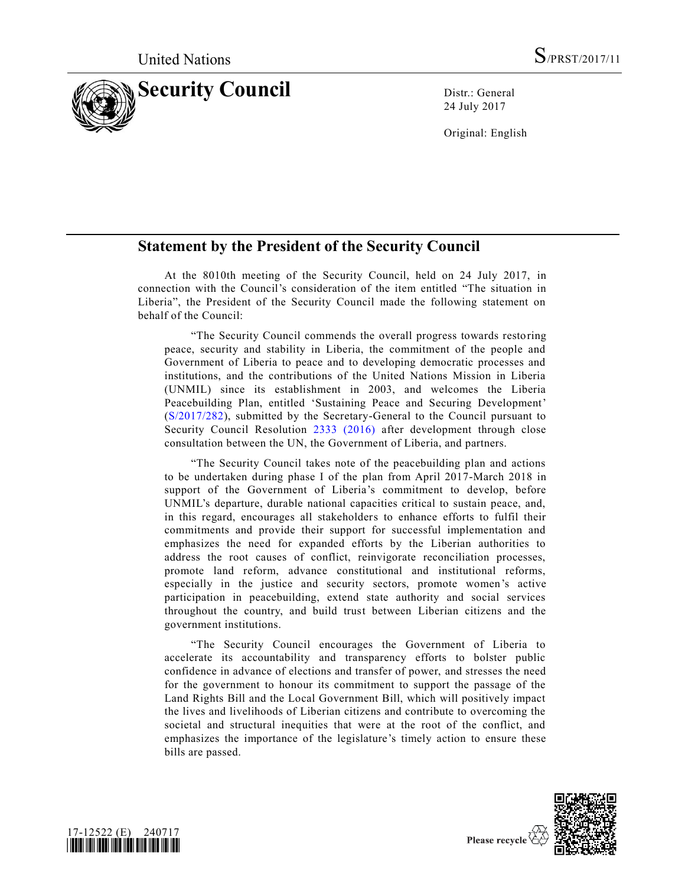

24 July 2017

Original: English

## **Statement by the President of the Security Council**

At the 8010th meeting of the Security Council, held on 24 July 2017, in connection with the Council's consideration of the item entitled "The situation in Liberia", the President of the Security Council made the following statement on behalf of the Council:

"The Security Council commends the overall progress towards restoring peace, security and stability in Liberia, the commitment of the people and Government of Liberia to peace and to developing democratic processes and institutions, and the contributions of the United Nations Mission in Liberia (UNMIL) since its establishment in 2003, and welcomes the Liberia Peacebuilding Plan, entitled 'Sustaining Peace and Securing Development' [\(S/2017/282\)](https://undocs.org/S/2017/282), submitted by the Secretary-General to the Council pursuant to Security Council Resolution [2333 \(2016\)](https://undocs.org/S/RES/2333(2016)) after development through close consultation between the UN, the Government of Liberia, and partners.

"The Security Council takes note of the peacebuilding plan and actions to be undertaken during phase I of the plan from April 2017-March 2018 in support of the Government of Liberia's commitment to develop, before UNMIL's departure, durable national capacities critical to sustain peace, and, in this regard, encourages all stakeholders to enhance efforts to fulfil their commitments and provide their support for successful implementation and emphasizes the need for expanded efforts by the Liberian authorities to address the root causes of conflict, reinvigorate reconciliation processes, promote land reform, advance constitutional and institutional reforms, especially in the justice and security sectors, promote women's active participation in peacebuilding, extend state authority and social services throughout the country, and build trust between Liberian citizens and the government institutions.

"The Security Council encourages the Government of Liberia to accelerate its accountability and transparency efforts to bolster public confidence in advance of elections and transfer of power, and stresses the need for the government to honour its commitment to support the passage of the Land Rights Bill and the Local Government Bill, which will positively impact the lives and livelihoods of Liberian citizens and contribute to overcoming the societal and structural inequities that were at the root of the conflict, and emphasizes the importance of the legislature's timely action to ensure these bills are passed.